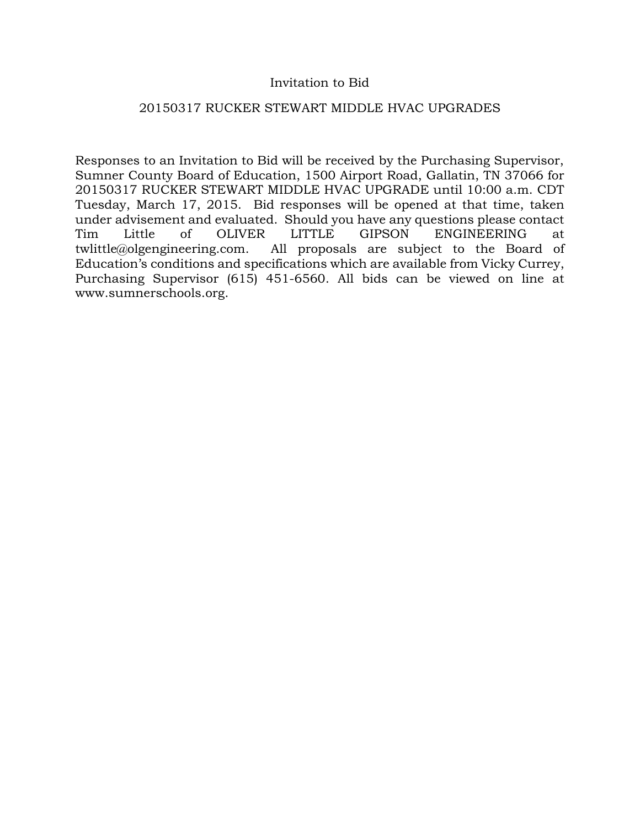## Invitation to Bid

## 20150317 RUCKER STEWART MIDDLE HVAC UPGRADES

Responses to an Invitation to Bid will be received by the Purchasing Supervisor, Sumner County Board of Education, 1500 Airport Road, Gallatin, TN 37066 for 20150317 RUCKER STEWART MIDDLE HVAC UPGRADE until 10:00 a.m. CDT Tuesday, March 17, 2015. Bid responses will be opened at that time, taken under advisement and evaluated. Should you have any questions please contact Tim Little of OLIVER LITTLE GIPSON ENGINEERING at twlittle@olgengineering.com. All proposals are subject to the Board of Education's conditions and specifications which are available from Vicky Currey, Purchasing Supervisor (615) 451-6560. All bids can be viewed on line at www.sumnerschools.org.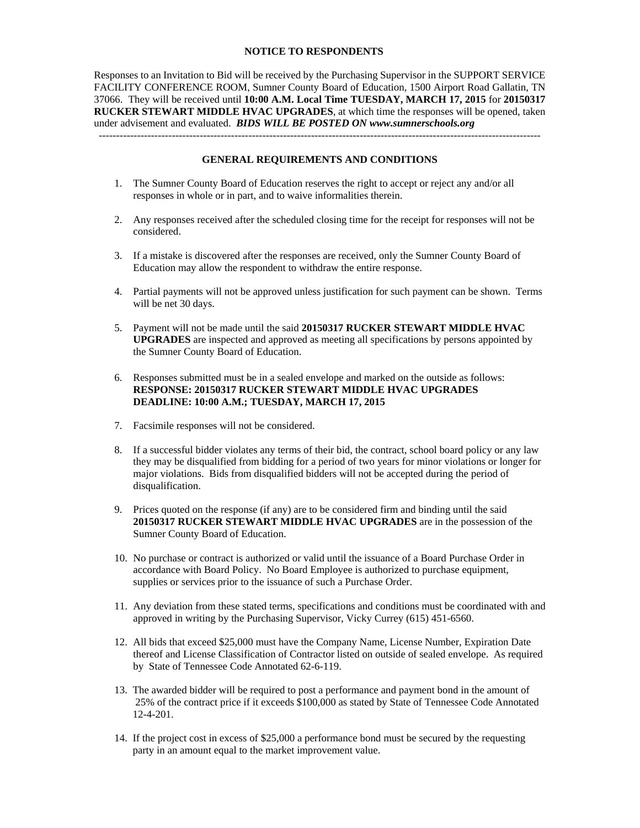#### **NOTICE TO RESPONDENTS**

Responses to an Invitation to Bid will be received by the Purchasing Supervisor in the SUPPORT SERVICE FACILITY CONFERENCE ROOM, Sumner County Board of Education, 1500 Airport Road Gallatin, TN 37066. They will be received until **10:00 A.M. Local Time TUESDAY, MARCH 17, 2015** for **20150317 RUCKER STEWART MIDDLE HVAC UPGRADES**, at which time the responses will be opened, taken under advisement and evaluated. *BIDS WILL BE POSTED ON www.sumnerschools.org*  -------------------------------------------------------------------------------------------------------------------------------

#### **GENERAL REQUIREMENTS AND CONDITIONS**

- 1. The Sumner County Board of Education reserves the right to accept or reject any and/or all responses in whole or in part, and to waive informalities therein.
- 2. Any responses received after the scheduled closing time for the receipt for responses will not be considered.
- 3. If a mistake is discovered after the responses are received, only the Sumner County Board of Education may allow the respondent to withdraw the entire response.
- 4. Partial payments will not be approved unless justification for such payment can be shown. Terms will be net 30 days.
- 5. Payment will not be made until the said **20150317 RUCKER STEWART MIDDLE HVAC UPGRADES** are inspected and approved as meeting all specifications by persons appointed by the Sumner County Board of Education.
- 6. Responses submitted must be in a sealed envelope and marked on the outside as follows: **RESPONSE: 20150317 RUCKER STEWART MIDDLE HVAC UPGRADES DEADLINE: 10:00 A.M.; TUESDAY, MARCH 17, 2015**
- 7. Facsimile responses will not be considered.
- 8. If a successful bidder violates any terms of their bid, the contract, school board policy or any law they may be disqualified from bidding for a period of two years for minor violations or longer for major violations. Bids from disqualified bidders will not be accepted during the period of disqualification.
- 9. Prices quoted on the response (if any) are to be considered firm and binding until the said **20150317 RUCKER STEWART MIDDLE HVAC UPGRADES** are in the possession of the Sumner County Board of Education.
- 10. No purchase or contract is authorized or valid until the issuance of a Board Purchase Order in accordance with Board Policy. No Board Employee is authorized to purchase equipment, supplies or services prior to the issuance of such a Purchase Order.
- 11. Any deviation from these stated terms, specifications and conditions must be coordinated with and approved in writing by the Purchasing Supervisor, Vicky Currey (615) 451-6560.
- 12. All bids that exceed \$25,000 must have the Company Name, License Number, Expiration Date thereof and License Classification of Contractor listed on outside of sealed envelope. As required by State of Tennessee Code Annotated 62-6-119.
- 13. The awarded bidder will be required to post a performance and payment bond in the amount of 25% of the contract price if it exceeds \$100,000 as stated by State of Tennessee Code Annotated 12-4-201.
- 14. If the project cost in excess of \$25,000 a performance bond must be secured by the requesting party in an amount equal to the market improvement value.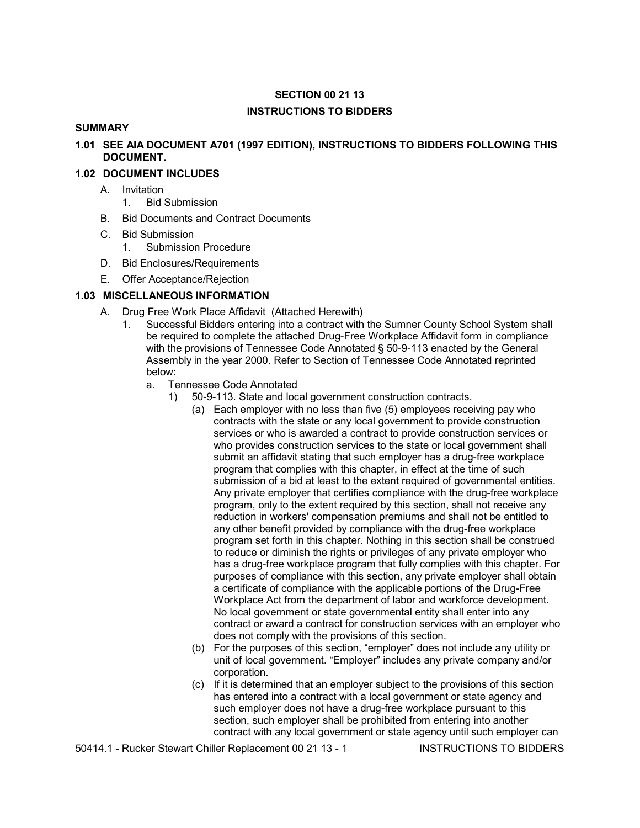# **SECTION 00 21 13 INSTRUCTIONS TO BIDDERS**

### **SUMMARY**

**1.01 SEE AIA DOCUMENT A701 (1997 EDITION), INSTRUCTIONS TO BIDDERS FOLLOWING THIS DOCUMENT.**

## **1.02 DOCUMENT INCLUDES**

- A. Invitation
	- 1. Bid Submission
- B. Bid Documents and Contract Documents
- C. Bid Submission
	- 1. Submission Procedure
- D. Bid Enclosures/Requirements
- E. Offer Acceptance/Rejection

## **1.03 MISCELLANEOUS INFORMATION**

- A. Drug Free Work Place Affidavit (Attached Herewith)
	- 1. Successful Bidders entering into a contract with the Sumner County School System shall be required to complete the attached Drug-Free Workplace Affidavit form in compliance with the provisions of Tennessee Code Annotated § 50-9-113 enacted by the General Assembly in the year 2000. Refer to Section of Tennessee Code Annotated reprinted below:
		- a. Tennessee Code Annotated
			- 1) 50-9-113. State and local government construction contracts.
				- (a) Each employer with no less than five (5) employees receiving pay who contracts with the state or any local government to provide construction services or who is awarded a contract to provide construction services or who provides construction services to the state or local government shall submit an affidavit stating that such employer has a drug-free workplace program that complies with this chapter, in effect at the time of such submission of a bid at least to the extent required of governmental entities. Any private employer that certifies compliance with the drug-free workplace program, only to the extent required by this section, shall not receive any reduction in workers' compensation premiums and shall not be entitled to any other benefit provided by compliance with the drug-free workplace program set forth in this chapter. Nothing in this section shall be construed to reduce or diminish the rights or privileges of any private employer who has a drug-free workplace program that fully complies with this chapter. For purposes of compliance with this section, any private employer shall obtain a certificate of compliance with the applicable portions of the Drug-Free Workplace Act from the department of labor and workforce development. No local government or state governmental entity shall enter into any contract or award a contract for construction services with an employer who does not comply with the provisions of this section.
				- (b) For the purposes of this section, "employer" does not include any utility or unit of local government. "Employer" includes any private company and/or corporation.
				- (c) If it is determined that an employer subject to the provisions of this section has entered into a contract with a local government or state agency and such employer does not have a drug-free workplace pursuant to this section, such employer shall be prohibited from entering into another contract with any local government or state agency until such employer can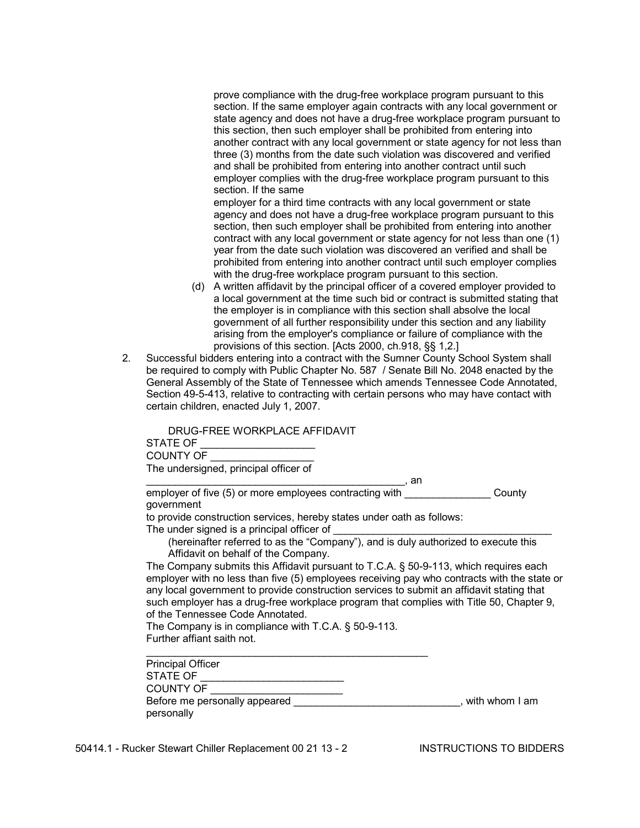prove compliance with the drug-free workplace program pursuant to this section. If the same employer again contracts with any local government or state agency and does not have a drug-free workplace program pursuant to this section, then such employer shall be prohibited from entering into another contract with any local government or state agency for not less than three (3) months from the date such violation was discovered and verified and shall be prohibited from entering into another contract until such employer complies with the drug-free workplace program pursuant to this section. If the same

 employer for a third time contracts with any local government or state agency and does not have a drug-free workplace program pursuant to this section, then such employer shall be prohibited from entering into another contract with any local government or state agency for not less than one (1) year from the date such violation was discovered an verified and shall be prohibited from entering into another contract until such employer complies with the drug-free workplace program pursuant to this section.

- (d) A written affidavit by the principal officer of a covered employer provided to a local government at the time such bid or contract is submitted stating that the employer is in compliance with this section shall absolve the local government of all further responsibility under this section and any liability arising from the employer's compliance or failure of compliance with the provisions of this section. [Acts 2000, ch.918, §§ 1,2.]
- 2. Successful bidders entering into a contract with the Sumner County School System shall be required to comply with Public Chapter No. 587 / Senate Bill No. 2048 enacted by the General Assembly of the State of Tennessee which amends Tennessee Code Annotated, Section 49-5-413, relative to contracting with certain persons who may have contact with certain children, enacted July 1, 2007.

 DRUG-FREE WORKPLACE AFFIDAVIT STATE OF COUNTY OF The undersigned, principal officer of \_\_\_\_\_\_\_\_\_\_\_\_\_\_\_\_\_\_\_\_\_\_\_\_\_\_\_\_\_\_\_\_\_\_\_\_\_\_\_\_\_\_\_\_\_, an

employer of five (5) or more employees contracting with \_\_\_\_\_\_\_\_\_\_\_\_\_\_\_\_\_\_County government to provide construction services, hereby states under oath as follows: The under signed is a principal officer of (hereinafter referred to as the "Company"), and is duly authorized to execute this Affidavit on behalf of the Company. The Company submits this Affidavit pursuant to T.C.A. § 50-9-113, which requires each employer with no less than five (5) employees receiving pay who contracts with the state or any local government to provide construction services to submit an affidavit stating that such employer has a drug-free workplace program that complies with Title 50, Chapter 9, of the Tennessee Code Annotated. The Company is in compliance with T.C.A. § 50-9-113. Further affiant saith not.  $\mathcal{L}_\text{max} = \frac{1}{2} \sum_{i=1}^{n} \frac{1}{2} \sum_{i=1}^{n} \frac{1}{2} \sum_{i=1}^{n} \frac{1}{2} \sum_{i=1}^{n} \frac{1}{2} \sum_{i=1}^{n} \frac{1}{2} \sum_{i=1}^{n} \frac{1}{2} \sum_{i=1}^{n} \frac{1}{2} \sum_{i=1}^{n} \frac{1}{2} \sum_{i=1}^{n} \frac{1}{2} \sum_{i=1}^{n} \frac{1}{2} \sum_{i=1}^{n} \frac{1}{2} \sum_{i=1}^{n} \frac{1$  Principal Officer STATE OF COUNTY OF \_\_\_\_\_\_\_\_\_\_\_\_\_\_\_\_\_\_\_\_\_\_\_

Before me personally appeared \_\_\_\_\_\_\_\_\_\_\_\_\_\_\_\_\_\_\_\_\_\_\_\_\_\_\_\_\_\_\_\_\_\_\_, with whom I am personally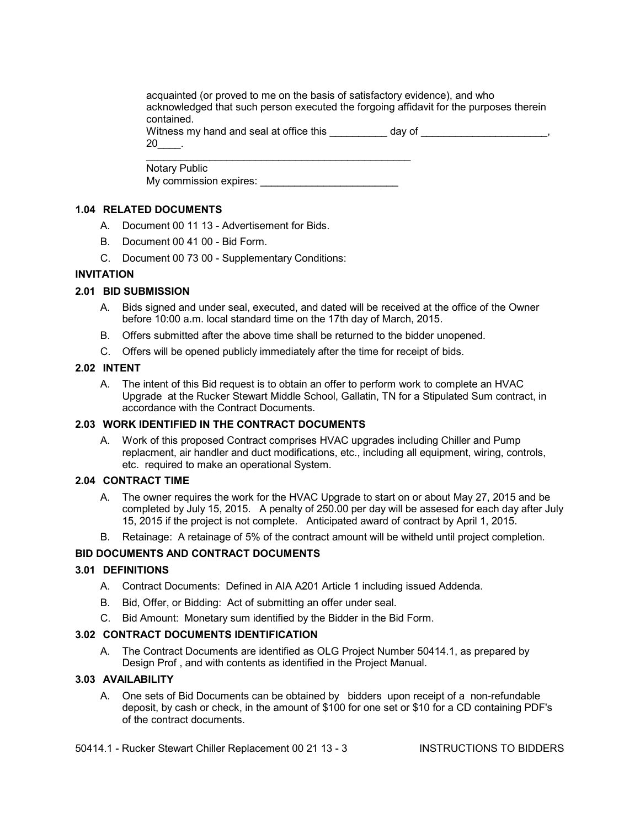acquainted (or proved to me on the basis of satisfactory evidence), and who acknowledged that such person executed the forgoing affidavit for the purposes therein contained.

Witness my hand and seal at office this day of

Notary Public

My commission expires: **EXAMPLE** 

## **1.04 RELATED DOCUMENTS**

- A. Document 00 11 13 Advertisement for Bids.
- B. Document 00 41 00 Bid Form.
- C. Document 00 73 00 Supplementary Conditions:

## **INVITATION**

## **2.01 BID SUBMISSION**

- A. Bids signed and under seal, executed, and dated will be received at the office of the Owner before 10:00 a.m. local standard time on the 17th day of March, 2015.
- B. Offers submitted after the above time shall be returned to the bidder unopened.
- C. Offers will be opened publicly immediately after the time for receipt of bids.

## **2.02 INTENT**

A. The intent of this Bid request is to obtain an offer to perform work to complete an HVAC Upgrade at the Rucker Stewart Middle School, Gallatin, TN for a Stipulated Sum contract, in accordance with the Contract Documents.

## **2.03 WORK IDENTIFIED IN THE CONTRACT DOCUMENTS**

A. Work of this proposed Contract comprises HVAC upgrades including Chiller and Pump replacment, air handler and duct modifications, etc., including all equipment, wiring, controls, etc. required to make an operational System.

## **2.04 CONTRACT TIME**

- A. The owner requires the work for the HVAC Upgrade to start on or about May 27, 2015 and be completed by July 15, 2015. A penalty of 250.00 per day will be assesed for each day after July 15, 2015 if the project is not complete. Anticipated award of contract by April 1, 2015.
- B. Retainage: A retainage of 5% of the contract amount will be witheld until project completion.

# **BID DOCUMENTS AND CONTRACT DOCUMENTS**

## **3.01 DEFINITIONS**

- A. Contract Documents: Defined in AIA A201 Article 1 including issued Addenda.
- B. Bid, Offer, or Bidding: Act of submitting an offer under seal.
- C. Bid Amount: Monetary sum identified by the Bidder in the Bid Form.

## **3.02 CONTRACT DOCUMENTS IDENTIFICATION**

A. The Contract Documents are identified as OLG Project Number 50414.1, as prepared by Design Prof , and with contents as identified in the Project Manual.

## **3.03 AVAILABILITY**

A. One sets of Bid Documents can be obtained by bidders upon receipt of a non-refundable deposit, by cash or check, in the amount of \$100 for one set or \$10 for a CD containing PDF's of the contract documents.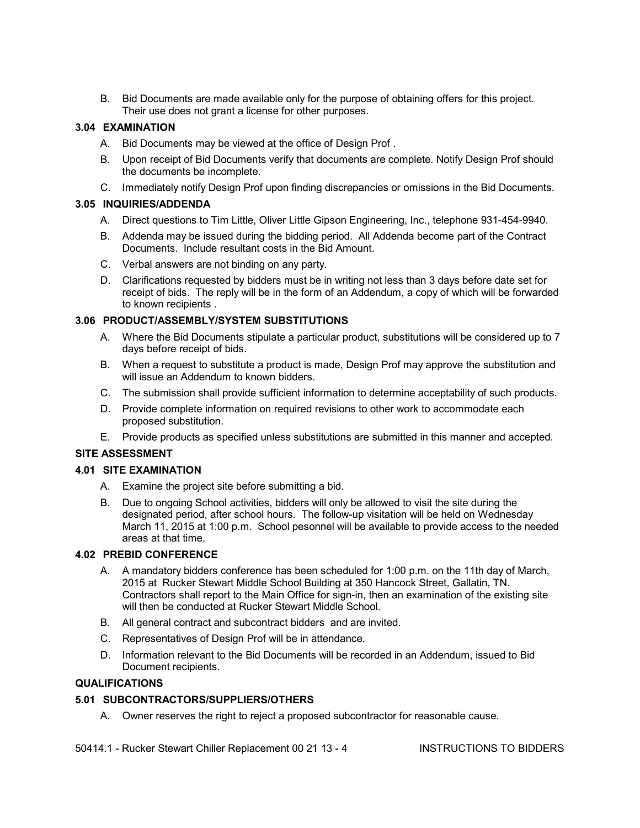B. Bid Documents are made available only for the purpose of obtaining offers for this project. Their use does not grant a license for other purposes.

## **3.04 EXAMINATION**

- A. Bid Documents may be viewed at the office of Design Prof .
- B. Upon receipt of Bid Documents verify that documents are complete. Notify Design Prof should the documents be incomplete.
- C. Immediately notify Design Prof upon finding discrepancies or omissions in the Bid Documents.

### **3.05 INQUIRIES/ADDENDA**

- A. Direct questions to Tim Little, Oliver Little Gipson Engineering, Inc., telephone 931-454-9940.
- B. Addenda may be issued during the bidding period. All Addenda become part of the Contract Documents. Include resultant costs in the Bid Amount.
- C. Verbal answers are not binding on any party.
- D. Clarifications requested by bidders must be in writing not less than 3 days before date set for receipt of bids. The reply will be in the form of an Addendum, a copy of which will be forwarded to known recipients .

## **3.06 PRODUCT/ASSEMBLY/SYSTEM SUBSTITUTIONS**

- A. Where the Bid Documents stipulate a particular product, substitutions will be considered up to 7 days before receipt of bids.
- B. When a request to substitute a product is made, Design Prof may approve the substitution and will issue an Addendum to known bidders.
- C. The submission shall provide sufficient information to determine acceptability of such products.
- D. Provide complete information on required revisions to other work to accommodate each proposed substitution.
- E. Provide products as specified unless substitutions are submitted in this manner and accepted.

## **SITE ASSESSMENT**

#### **4.01 SITE EXAMINATION**

- A. Examine the project site before submitting a bid.
- B. Due to ongoing School activities, bidders will only be allowed to visit the site during the designated period, after school hours. The follow-up visitation will be held on Wednesday March 11, 2015 at 1:00 p.m. School pesonnel will be available to provide access to the needed areas at that time.

## **4.02 PREBID CONFERENCE**

- A. A mandatory bidders conference has been scheduled for 1:00 p.m. on the 11th day of March, 2015 at Rucker Stewart Middle School Building at 350 Hancock Street, Gallatin, TN. Contractors shall report to the Main Office for sign-in, then an examination of the existing site will then be conducted at Rucker Stewart Middle School.
- B. All general contract and subcontract bidders and are invited.
- C. Representatives of Design Prof will be in attendance.
- D. Information relevant to the Bid Documents will be recorded in an Addendum, issued to Bid Document recipients.

#### **QUALIFICATIONS**

## **5.01 SUBCONTRACTORS/SUPPLIERS/OTHERS**

A. Owner reserves the right to reject a proposed subcontractor for reasonable cause.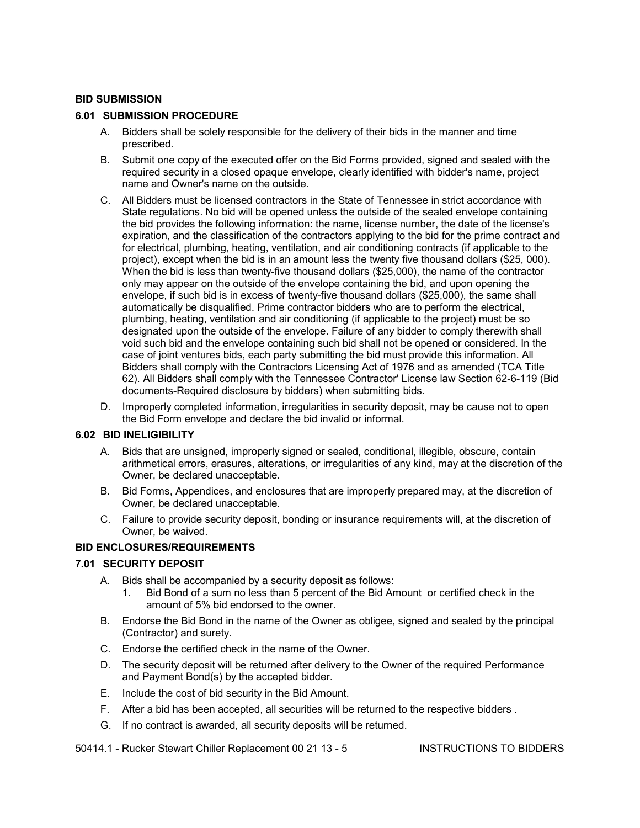#### **BID SUBMISSION**

### **6.01 SUBMISSION PROCEDURE**

- A. Bidders shall be solely responsible for the delivery of their bids in the manner and time prescribed.
- B. Submit one copy of the executed offer on the Bid Forms provided, signed and sealed with the required security in a closed opaque envelope, clearly identified with bidder's name, project name and Owner's name on the outside.
- C. All Bidders must be licensed contractors in the State of Tennessee in strict accordance with State regulations. No bid will be opened unless the outside of the sealed envelope containing the bid provides the following information: the name, license number, the date of the license's expiration, and the classification of the contractors applying to the bid for the prime contract and for electrical, plumbing, heating, ventilation, and air conditioning contracts (if applicable to the project), except when the bid is in an amount less the twenty five thousand dollars (\$25, 000). When the bid is less than twenty-five thousand dollars (\$25,000), the name of the contractor only may appear on the outside of the envelope containing the bid, and upon opening the envelope, if such bid is in excess of twenty-five thousand dollars (\$25,000), the same shall automatically be disqualified. Prime contractor bidders who are to perform the electrical, plumbing, heating, ventilation and air conditioning (if applicable to the project) must be so designated upon the outside of the envelope. Failure of any bidder to comply therewith shall void such bid and the envelope containing such bid shall not be opened or considered. In the case of joint ventures bids, each party submitting the bid must provide this information. All Bidders shall comply with the Contractors Licensing Act of 1976 and as amended (TCA Title 62). All Bidders shall comply with the Tennessee Contractor' License law Section 62-6-119 (Bid documents-Required disclosure by bidders) when submitting bids.
- D. Improperly completed information, irregularities in security deposit, may be cause not to open the Bid Form envelope and declare the bid invalid or informal.

#### **6.02 BID INELIGIBILITY**

- A. Bids that are unsigned, improperly signed or sealed, conditional, illegible, obscure, contain arithmetical errors, erasures, alterations, or irregularities of any kind, may at the discretion of the Owner, be declared unacceptable.
- B. Bid Forms, Appendices, and enclosures that are improperly prepared may, at the discretion of Owner, be declared unacceptable.
- C. Failure to provide security deposit, bonding or insurance requirements will, at the discretion of Owner, be waived.

#### **BID ENCLOSURES/REQUIREMENTS**

#### **7.01 SECURITY DEPOSIT**

- A. Bids shall be accompanied by a security deposit as follows:
	- 1. Bid Bond of a sum no less than 5 percent of the Bid Amount or certified check in the amount of 5% bid endorsed to the owner.
- B. Endorse the Bid Bond in the name of the Owner as obligee, signed and sealed by the principal (Contractor) and surety.
- C. Endorse the certified check in the name of the Owner.
- D. The security deposit will be returned after delivery to the Owner of the required Performance and Payment Bond(s) by the accepted bidder.
- E. Include the cost of bid security in the Bid Amount.
- F. After a bid has been accepted, all securities will be returned to the respective bidders .
- G. If no contract is awarded, all security deposits will be returned.

50414.1 - Rucker Stewart Chiller Replacement 00 21 13 - 5 INSTRUCTIONS TO BIDDERS